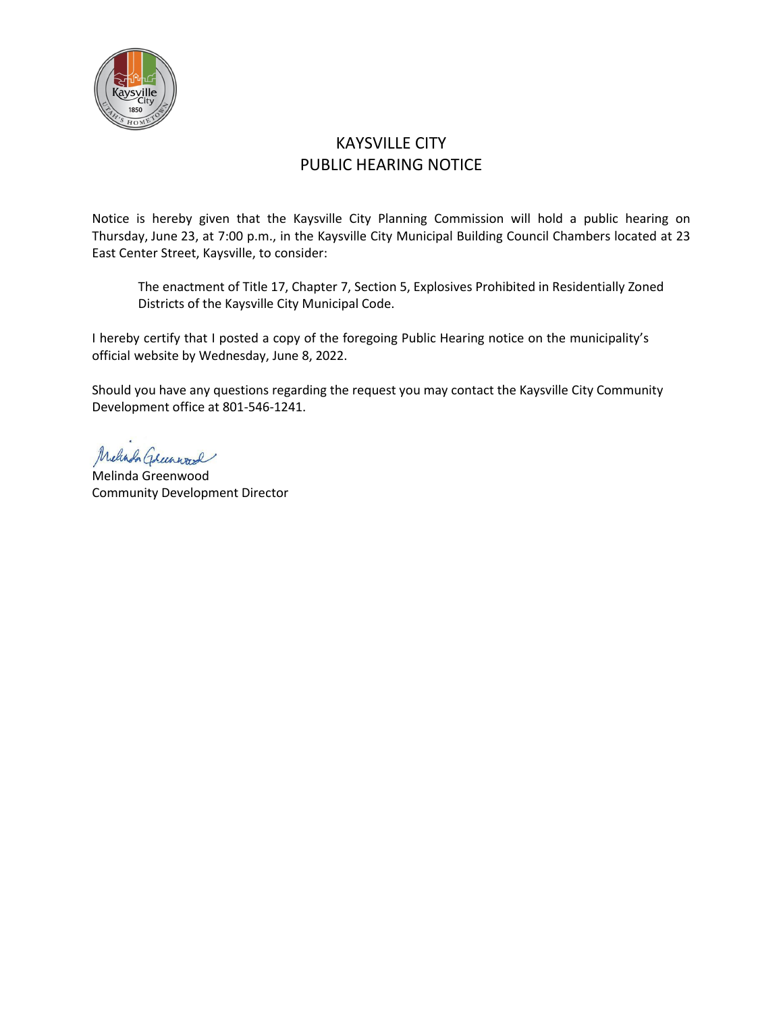

# KAYSVILLE CITY PUBLIC HEARING NOTICE

Notice is hereby given that the Kaysville City Planning Commission will hold a public hearing on Thursday, June 23, at 7:00 p.m., in the Kaysville City Municipal Building Council Chambers located at 23 East Center Street, Kaysville, to consider:

The enactment of Title 17, Chapter 7, Section 5, Explosives Prohibited in Residentially Zoned Districts of the Kaysville City Municipal Code.

I hereby certify that I posted a copy of the foregoing Public Hearing notice on the municipality's official website by Wednesday, June 8, 2022.

Should you have any questions regarding the request you may contact the Kaysville City Community Development office at 801-546-1241.

Melinda Greenward

Melinda Greenwood Community Development Director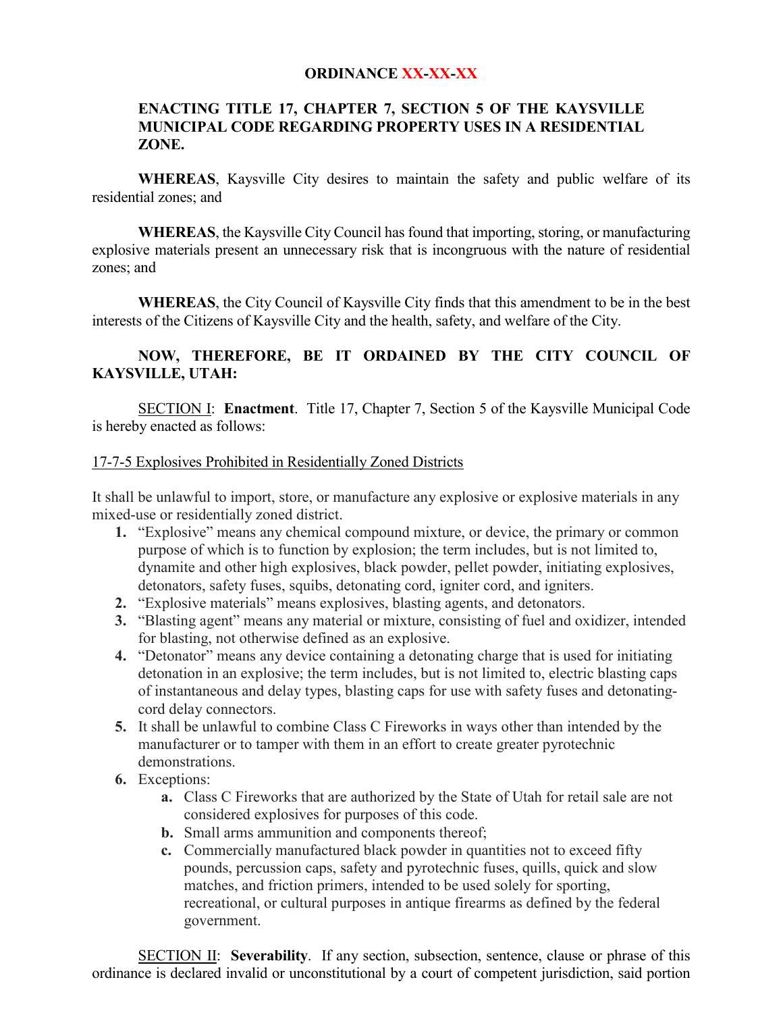### **ORDINANCE XX-XX-XX**

## **ENACTING TITLE 17, CHAPTER 7, SECTION 5 OF THE KAYSVILLE MUNICIPAL CODE REGARDING PROPERTY USES IN A RESIDENTIAL ZONE.**

**WHEREAS**, Kaysville City desires to maintain the safety and public welfare of its residential zones; and

**WHEREAS**, the Kaysville City Council has found that importing, storing, or manufacturing explosive materials present an unnecessary risk that is incongruous with the nature of residential zones; and

**WHEREAS**, the City Council of Kaysville City finds that this amendment to be in the best interests of the Citizens of Kaysville City and the health, safety, and welfare of the City.

# **NOW, THEREFORE, BE IT ORDAINED BY THE CITY COUNCIL OF KAYSVILLE, UTAH:**

SECTION I: **Enactment**. Title 17, Chapter 7, Section 5 of the Kaysville Municipal Code is hereby enacted as follows:

#### 17-7-5 Explosives Prohibited in Residentially Zoned Districts

It shall be unlawful to import, store, or manufacture any explosive or explosive materials in any mixed-use or residentially zoned district.

- **1.** "Explosive" means any chemical compound mixture, or device, the primary or common purpose of which is to function by explosion; the term includes, but is not limited to, dynamite and other high explosives, black powder, pellet powder, initiating explosives, detonators, safety fuses, squibs, detonating cord, igniter cord, and igniters.
- **2.** "Explosive materials" means explosives, blasting agents, and detonators.
- **3.** "Blasting agent" means any material or mixture, consisting of fuel and oxidizer, intended for blasting, not otherwise defined as an explosive.
- **4.** "Detonator" means any device containing a detonating charge that is used for initiating detonation in an explosive; the term includes, but is not limited to, electric blasting caps of instantaneous and delay types, blasting caps for use with safety fuses and detonatingcord delay connectors.
- **5.** It shall be unlawful to combine Class C Fireworks in ways other than intended by the manufacturer or to tamper with them in an effort to create greater pyrotechnic demonstrations.
- **6.** Exceptions:
	- **a.** Class C Fireworks that are authorized by the State of Utah for retail sale are not considered explosives for purposes of this code.
	- **b.** Small arms ammunition and components thereof;
	- **c.** Commercially manufactured black powder in quantities not to exceed fifty pounds, percussion caps, safety and pyrotechnic fuses, quills, quick and slow matches, and friction primers, intended to be used solely for sporting, recreational, or cultural purposes in antique firearms as defined by the federal government.

SECTION II: **Severability**. If any section, subsection, sentence, clause or phrase of this ordinance is declared invalid or unconstitutional by a court of competent jurisdiction, said portion